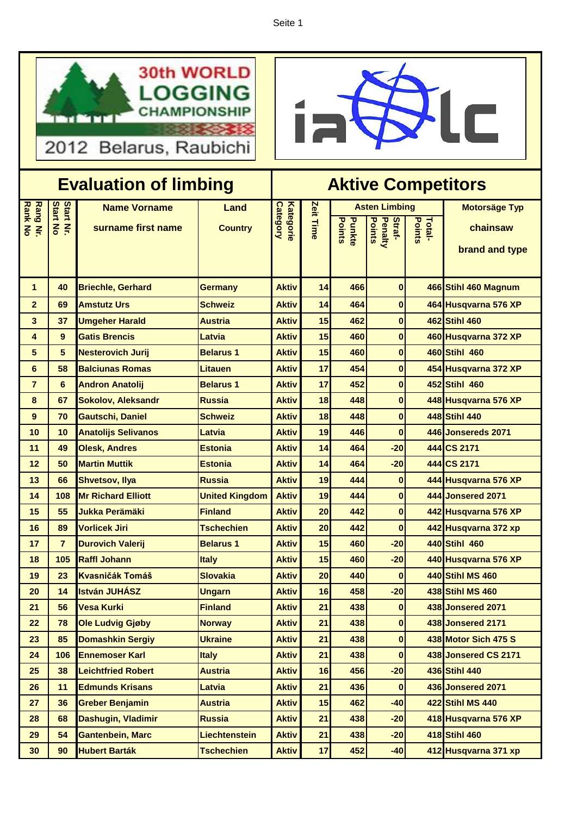Seite 1





| <b>Evaluation of limbing</b> |                           |                            |                       | <b>Aktive Competitors</b>           |           |                         |                                    |                  |                          |
|------------------------------|---------------------------|----------------------------|-----------------------|-------------------------------------|-----------|-------------------------|------------------------------------|------------------|--------------------------|
| <b>Rang</b>                  | <b>Start</b>              | <b>Name Vorname</b>        | Land                  |                                     |           | <b>Asten Limbing</b>    |                                    |                  | <b>Motorsäge Typ</b>     |
| <b>Rank No</b><br>$\leq$     | <b>Start No</b><br>$\leq$ | surname first name         | <b>Country</b>        | <b>Kategorie</b><br><b>Category</b> | Zeit Time | <b>Points</b><br>Punkte | <b>Points</b><br>Penalty<br>Straf- | Points<br>Total- | chainsaw                 |
|                              |                           |                            |                       |                                     |           |                         |                                    |                  |                          |
|                              |                           |                            |                       |                                     |           |                         |                                    |                  | brand and type           |
|                              |                           |                            |                       |                                     |           |                         |                                    |                  |                          |
| 1                            | 40                        | <b>Briechle, Gerhard</b>   | <b>Germany</b>        | <b>Aktiv</b>                        | 14        | 466                     | 0                                  |                  | 466 Stihl 460 Magnum     |
| $\overline{2}$               | 69                        | <b>Amstutz Urs</b>         | <b>Schweiz</b>        | <b>Aktiv</b>                        | 14        | 464                     | $\bf{0}$                           |                  | 464 Husqvarna 576 XP     |
| 3                            | 37                        | <b>Umgeher Harald</b>      | <b>Austria</b>        | <b>Aktiv</b>                        | 15        | 462                     | $\bf{0}$                           |                  | 462 Stihl 460            |
| 4                            | 9                         | <b>Gatis Brencis</b>       | Latvia                | Aktiv                               | 15        | 460                     | $\bf{0}$                           |                  | 460 Husqvarna 372 XP     |
| 5                            | 5                         | <b>Nesterovich Jurij</b>   | <b>Belarus 1</b>      | <b>Aktiv</b>                        | 15        | 460                     | $\bf{0}$                           |                  | 460 Stihl 460            |
| 6                            | 58                        | <b>Balciunas Romas</b>     | Litauen               | <b>Aktiv</b>                        | 17        | 454                     | $\bf{0}$                           |                  | 454 Husqvarna 372 XP     |
| $\overline{7}$               | 6                         | <b>Andron Anatolij</b>     | <b>Belarus 1</b>      | <b>Aktiv</b>                        | 17        | 452                     | $\bf{0}$                           |                  | 452 Stihl 460            |
| 8                            | 67                        | <b>Sokolov, Aleksandr</b>  | <b>Russia</b>         | <b>Aktiv</b>                        | 18        | 448                     | $\bf{0}$                           |                  | 448 Husqvarna 576 XP     |
| 9                            | 70                        | <b>Gautschi, Daniel</b>    | <b>Schweiz</b>        | <b>Aktiv</b>                        | 18        | 448                     | $\bf{0}$                           |                  | 448 Stihl 440            |
| 10                           | 10                        | <b>Anatolijs Selivanos</b> | Latvia                | <b>Aktiv</b>                        | 19        | 446                     | $\bf{0}$                           |                  | 446 Jonsereds 2071       |
| 11                           | 49                        | <b>Olesk, Andres</b>       | <b>Estonia</b>        | <b>Aktiv</b>                        | 14        | 464                     | $-20$                              |                  | 444 CS 2171              |
| 12                           | 50                        | <b>Martin Muttik</b>       | <b>Estonia</b>        | <b>Aktiv</b>                        | 14        | 464                     | $-20$                              |                  | 444 CS 2171              |
| 13                           | 66                        | <b>Shvetsov, Ilya</b>      | <b>Russia</b>         | <b>Aktiv</b>                        | 19        | 444                     | $\pmb{0}$                          |                  | 444 Husqvarna 576 XP     |
| 14                           | 108                       | <b>Mr Richard Elliott</b>  | <b>United Kingdom</b> | <b>Aktiv</b>                        | 19        | 444                     | $\bf{0}$                           |                  | <b>444 Jonsered 2071</b> |
| 15                           | 55                        | <b>Jukka Perämäki</b>      | <b>Finland</b>        | <b>Aktiv</b>                        | 20        | 442                     | $\bf{0}$                           |                  | 442 Husqvarna 576 XP     |
| 16                           | 89                        | <b>Vorlicek Jiri</b>       | <b>Tschechien</b>     | <b>Aktiv</b>                        | 20        | 442                     | $\bf{0}$                           |                  | 442 Husqvarna 372 xp     |
| 17                           | $\overline{7}$            | <b>Durovich Valerij</b>    | <b>Belarus 1</b>      | <b>Aktiv</b>                        | 15        | 460                     | $-20$                              |                  | 440 Stihl 460            |
| 18                           | 105                       | <b>Raffl Johann</b>        | <b>Italy</b>          | <b>Aktiv</b>                        | 15        | 460                     | $-20$                              |                  | 440 Husqvarna 576 XP     |
| 19                           | 23                        | <b>Kvasničák Tomáš</b>     | <b>Slovakia</b>       | <b>Aktiv</b>                        | 20        | 440                     | $\bf{0}$                           |                  | 440 Stihl MS 460         |
| 20                           | 14                        | <b>István JUHÁSZ</b>       | <b>Ungarn</b>         | <b>Aktiv</b>                        | 16        | 458                     | $-20$                              |                  | <b>438 Stihl MS 460</b>  |
| 21                           | 56                        | <b>Vesa Kurki</b>          | <b>Finland</b>        | <b>Aktiv</b>                        | 21        | 438                     | $\boldsymbol{0}$                   |                  | 438 Jonsered 2071        |
| 22                           | 78                        | <b>Ole Ludvig Gjøby</b>    | <b>Norway</b>         | <b>Aktiv</b>                        | 21        | 438                     | $\bf{0}$                           |                  | 438 Jonsered 2171        |
| 23                           | 85                        | <b>Domashkin Sergiy</b>    | <b>Ukraine</b>        | <b>Aktiv</b>                        | 21        | 438                     | 0                                  |                  | 438 Motor Sich 475 S     |
| 24                           | 106                       | <b>Ennemoser Karl</b>      | <b>Italy</b>          | <b>Aktiv</b>                        | 21        | 438                     | $\bf{0}$                           |                  | 438 Jonsered CS 2171     |
| 25                           | 38                        | <b>Leichtfried Robert</b>  | <b>Austria</b>        | <b>Aktiv</b>                        | 16        | 456                     | $-20$                              |                  | 436 Stihl 440            |
| 26                           | 11                        | <b>Edmunds Krisans</b>     | Latvia                | <b>Aktiv</b>                        | 21        | 436                     | $\bf{0}$                           |                  | 436 Jonsered 2071        |
| 27                           | 36                        | <b>Greber Benjamin</b>     | <b>Austria</b>        | <b>Aktiv</b>                        | 15        | 462                     | $-40$                              |                  | <b>422 Stihl MS 440</b>  |
| 28                           | 68                        | Dashugin, Vladimir         | <b>Russia</b>         | <b>Aktiv</b>                        | 21        | 438                     | $-20$                              |                  | 418 Husqvarna 576 XP     |
| 29                           | 54                        | <b>Gantenbein, Marc</b>    | <b>Liechtenstein</b>  | <b>Aktiv</b>                        | 21        | 438                     | $-20$                              |                  | 418 Stihl 460            |
| 30                           | 90                        | <b>Hubert Barták</b>       | <b>Tschechien</b>     | <b>Aktiv</b>                        | 17        | 452                     | $-40$                              |                  | 412 Husqvarna 371 xp     |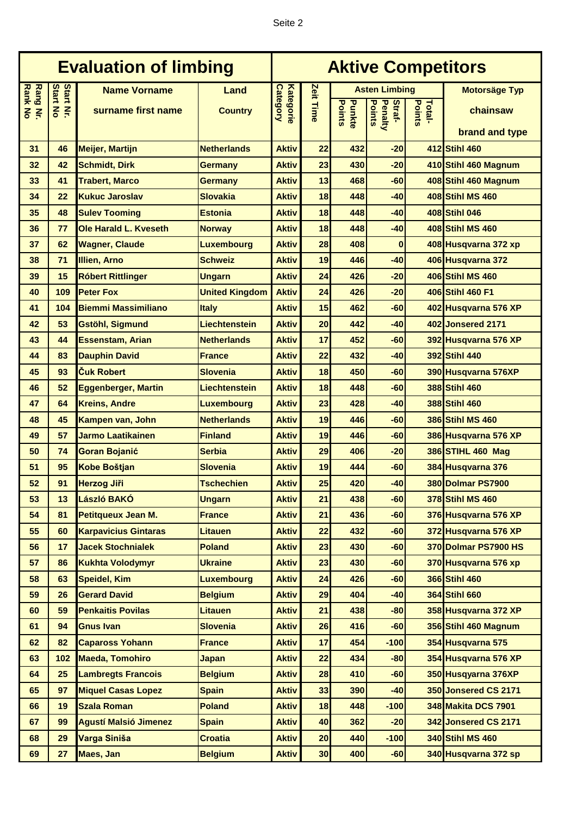| <b>Evaluation of limbing</b> |                              |                              |                       | <b>Aktive Competitors</b>           |           |                         |                             |                  |                            |
|------------------------------|------------------------------|------------------------------|-----------------------|-------------------------------------|-----------|-------------------------|-----------------------------|------------------|----------------------------|
|                              |                              | <b>Name Vorname</b>          | Land                  |                                     |           | <b>Asten Limbing</b>    |                             |                  | <b>Motorsäge Typ</b>       |
| <b>Rank No</b><br>Rang Nr.   | <b>Start Nr.</b><br>Start No | surname first name           | <b>Country</b>        | <b>Category</b><br><b>Kategorie</b> | Zeit Time | <b>Points</b><br>Punkte | Points<br>Penalty<br>Straf- | Total-<br>Points | chainsaw                   |
|                              |                              |                              |                       |                                     |           |                         |                             |                  | brand and type             |
| 31                           | 46                           | <b>Meijer, Martijn</b>       | <b>Netherlands</b>    | <b>Aktiv</b>                        | 22        | 432                     | $-20$                       |                  | 412 Stihl 460              |
| 32                           | 42                           | <b>Schmidt, Dirk</b>         | <b>Germany</b>        | <b>Aktiv</b>                        | 23        | 430                     | $-20$                       |                  | 410 Stihl 460 Magnum       |
| 33                           | 41                           | <b>Trabert, Marco</b>        | <b>Germany</b>        | <b>Aktiv</b>                        | 13        | 468                     | $-60$                       |                  | 408 Stihl 460 Magnum       |
| 34                           | 22                           | <b>Kukuc Jaroslav</b>        | <b>Slovakia</b>       | <b>Aktiv</b>                        | 18        | 448                     | $-40$                       |                  | <b>408 Stihl MS 460</b>    |
| 35                           | 48                           | <b>Sulev Tooming</b>         | <b>Estonia</b>        | <b>Aktiv</b>                        | 18        | 448                     | $-40$                       |                  | 408 Stihl 046              |
| 36                           | 77                           | Ole Harald L. Kveseth        | <b>Norway</b>         | <b>Aktiv</b>                        | 18        | 448                     | $-40$                       |                  | 408 Stihl MS 460           |
| 37                           | 62                           | <b>Wagner, Claude</b>        | <b>Luxembourg</b>     | <b>Aktiv</b>                        | 28        | 408                     | $\bf{0}$                    |                  | 408 Husqvarna 372 xp       |
| 38                           | 71                           | <b>Illien, Arno</b>          | <b>Schweiz</b>        | <b>Aktiv</b>                        | 19        | 446                     | $-40$                       |                  | 406 Husqvarna 372          |
| 39                           | 15                           | <b>Róbert Rittlinger</b>     | <b>Ungarn</b>         | <b>Aktiv</b>                        | 24        | 426                     | $-20$                       |                  | 406 Stihl MS 460           |
| 40                           | 109                          | <b>Peter Fox</b>             | <b>United Kingdom</b> | <b>Aktiv</b>                        | 24        | 426                     | $-20$                       |                  | 406 Stihl 460 F1           |
| 41                           | 104                          | <b>Biemmi Massimiliano</b>   | <b>Italy</b>          | <b>Aktiv</b>                        | 15        | 462                     | $-60$                       |                  | 402 Husqvarna 576 XP       |
| 42                           | 53                           | <b>Gstöhl, Sigmund</b>       | <b>Liechtenstein</b>  | <b>Aktiv</b>                        | 20        | 442                     | $-40$                       |                  | 402 Jonsered 2171          |
| 43                           | 44                           | <b>Essenstam, Arian</b>      | <b>Netherlands</b>    | <b>Aktiv</b>                        | 17        | 452                     | $-60$                       |                  | 392 Husqvarna 576 XP       |
| 44                           | 83                           | <b>Dauphin David</b>         | <b>France</b>         | <b>Aktiv</b>                        | 22        | 432                     | $-40$                       |                  | 392 Stihl 440              |
| 45                           | 93                           | <b>Cuk Robert</b>            | <b>Slovenia</b>       | <b>Aktiv</b>                        | 18        | 450                     | -60                         |                  | 390 Husqvarna 576XP        |
| 46                           | 52                           | <b>Eggenberger, Martin</b>   | <b>Liechtenstein</b>  | <b>Aktiv</b>                        | 18        | 448                     | $-60$                       |                  | 388 Stihl 460              |
| 47                           | 64                           | <b>Kreins, Andre</b>         | <b>Luxembourg</b>     | <b>Aktiv</b>                        | 23        | 428                     | $-40$                       |                  | 388 Stihl 460              |
| 48                           | 45                           | Kampen van, John             | <b>Netherlands</b>    | <b>Aktiv</b>                        | 19        | 446                     | $-60$                       |                  | 386 Stihl MS 460           |
| 49                           | 57                           | <b>Jarmo Laatikainen</b>     | <b>Finland</b>        | <b>Aktiv</b>                        | 19        | 446                     | -60                         |                  | 386 Husqvarna 576 XP       |
| 50                           | 74                           | <b>Goran Bojanić</b>         | <b>Serbia</b>         | <b>Aktiv</b>                        | 29        | 406                     | $-20$                       |                  | 386 STIHL 460 Mag          |
| 51                           | 95                           | <b>Kobe Boštjan</b>          | <b>Slovenia</b>       | <b>Aktiv</b>                        | 19        | 444                     | $-60$                       |                  | 384 Husqvarna 376          |
| 52                           | 91                           | <b>Herzog Jiři</b>           | <b>Tschechien</b>     | <b>Aktiv</b>                        | 25        | 420                     | $-40$                       |                  | 380 Dolmar PS7900          |
| 53                           | 13                           | László BAKÓ                  | <b>Ungarn</b>         | <b>Aktiv</b>                        | 21        | 438                     | $-60$                       |                  | 378 Stihl MS 460           |
| 54                           | 81                           | Petitqueux Jean M.           | <b>France</b>         | <b>Aktiv</b>                        | 21        | 436                     | $-60$                       |                  | 376 Husqvarna 576 XP       |
| 55                           | 60                           | <b>Karpavicius Gintaras</b>  | <b>Litauen</b>        | <b>Aktiv</b>                        | 22        | 432                     | $-60$                       |                  | 372 Husqvarna 576 XP       |
| 56                           | 17                           | <b>Jacek Stochnialek</b>     | <b>Poland</b>         | <b>Aktiv</b>                        | 23        | 430                     | $-60$                       |                  | 370 Dolmar PS7900 HS       |
| 57                           | 86                           | <b>Kukhta Volodymyr</b>      | <b>Ukraine</b>        | <b>Aktiv</b>                        | 23        | 430                     | $-60$                       |                  | 370 Husqvarna 576 xp       |
| 58                           | 63                           | <b>Speidel, Kim</b>          | <b>Luxembourg</b>     | <b>Aktiv</b>                        | 24        | 426                     | $-60$                       |                  | 366 Stihl 460              |
| 59                           | 26                           | <b>Gerard David</b>          | <b>Belgium</b>        | <b>Aktiv</b>                        | 29        | 404                     | $-40$                       |                  | 364 Stihl 660              |
| 60                           | 59                           | <b>Penkaitis Povilas</b>     | <b>Litauen</b>        | <b>Aktiv</b>                        | 21        | 438                     | $-80$                       |                  | 358 Husqvarna 372 XP       |
| 61                           | 94                           | <b>Gnus Ivan</b>             | <b>Slovenia</b>       | <b>Aktiv</b>                        | 26        | 416                     | $-60$                       |                  | 356 Stihl 460 Magnum       |
| 62                           | 82                           | <b>Capaross Yohann</b>       | <b>France</b>         | <b>Aktiv</b>                        | 17        | 454                     | $-100$                      |                  | 354 Husqvarna 575          |
| 63                           | 102                          | <b>Maeda, Tomohiro</b>       | <b>Japan</b>          | <b>Aktiv</b>                        | 22        | 434                     | $-80$                       |                  | 354 Husqvarna 576 XP       |
| 64                           | 25                           | <b>Lambregts Francois</b>    | <b>Belgium</b>        | <b>Aktiv</b>                        | 28        | 410                     | $-60$                       |                  | 350 Husqyarna 376XP        |
| 65                           | 97                           | <b>Miquel Casas Lopez</b>    | <b>Spain</b>          | <b>Aktiv</b>                        | 33        | 390                     | $-40$                       |                  | 350 Jonsered CS 2171       |
| 66                           | 19                           | <b>Szala Roman</b>           | <b>Poland</b>         | <b>Aktiv</b>                        | 18        | 448                     | $-100$                      |                  | <b>348 Makita DCS 7901</b> |
| 67                           | 99                           | <b>Agustí Malsió Jimenez</b> | <b>Spain</b>          | <b>Aktiv</b>                        | 40        | 362                     | $-20$                       |                  | 342 Jonsered CS 2171       |
| 68                           | 29                           | Varga Siniša                 | <b>Croatia</b>        | <b>Aktiv</b>                        | 20        | 440                     | $-100$                      |                  | <b>340 Stihl MS 460</b>    |
| 69                           | 27                           | Maes, Jan                    | <b>Belgium</b>        | <b>Aktiv</b>                        | 30        | 400                     | $-60$                       |                  | 340 Husqvarna 372 sp       |